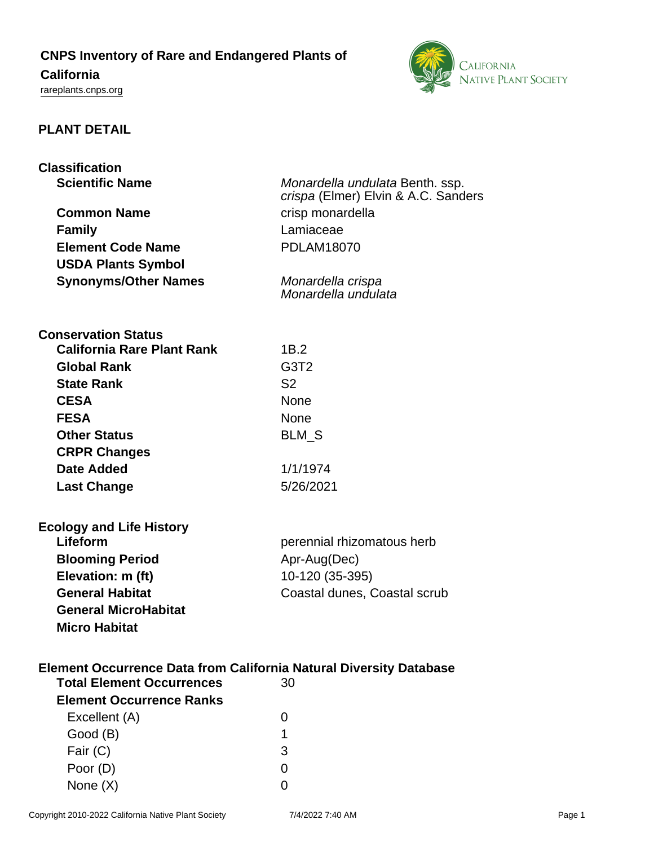## **CNPS Inventory of Rare and Endangered Plants of**

# **California**

<rareplants.cnps.org>



## **PLANT DETAIL**

| <b>Classification</b>                                                     |                                     |
|---------------------------------------------------------------------------|-------------------------------------|
| <b>Scientific Name</b>                                                    | Monardella undulata Benth. ssp.     |
|                                                                           | crispa (Elmer) Elvin & A.C. Sanders |
| <b>Common Name</b>                                                        | crisp monardella                    |
| <b>Family</b>                                                             | Lamiaceae                           |
| <b>Element Code Name</b>                                                  | <b>PDLAM18070</b>                   |
| <b>USDA Plants Symbol</b>                                                 |                                     |
| <b>Synonyms/Other Names</b>                                               | Monardella crispa                   |
|                                                                           | Monardella undulata                 |
|                                                                           |                                     |
| <b>Conservation Status</b>                                                |                                     |
| <b>California Rare Plant Rank</b>                                         | 1B.2                                |
| <b>Global Rank</b>                                                        | G <sub>3</sub> T <sub>2</sub>       |
| <b>State Rank</b>                                                         | S <sub>2</sub>                      |
| <b>CESA</b>                                                               | <b>None</b>                         |
| <b>FESA</b>                                                               | <b>None</b>                         |
| <b>Other Status</b>                                                       | <b>BLM S</b>                        |
| <b>CRPR Changes</b>                                                       |                                     |
| Date Added                                                                | 1/1/1974                            |
| <b>Last Change</b>                                                        | 5/26/2021                           |
|                                                                           |                                     |
|                                                                           |                                     |
| <b>Ecology and Life History</b>                                           |                                     |
| Lifeform                                                                  | perennial rhizomatous herb          |
| <b>Blooming Period</b>                                                    | Apr-Aug(Dec)                        |
| Elevation: m (ft)                                                         | 10-120 (35-395)                     |
| <b>General Habitat</b>                                                    | Coastal dunes, Coastal scrub        |
| <b>General MicroHabitat</b>                                               |                                     |
| <b>Micro Habitat</b>                                                      |                                     |
|                                                                           |                                     |
| <b>Element Occurrence Data from California Natural Diversity Database</b> |                                     |
| <b>Total Element Occurrences</b>                                          | 30                                  |
| <b>Element Occurrence Ranks</b>                                           |                                     |
| Excellent (A)                                                             | 0                                   |
| Good (B)                                                                  | 1                                   |
| Fair (C)                                                                  | 3                                   |
| Poor (D)                                                                  | 0                                   |
| None $(X)$                                                                |                                     |